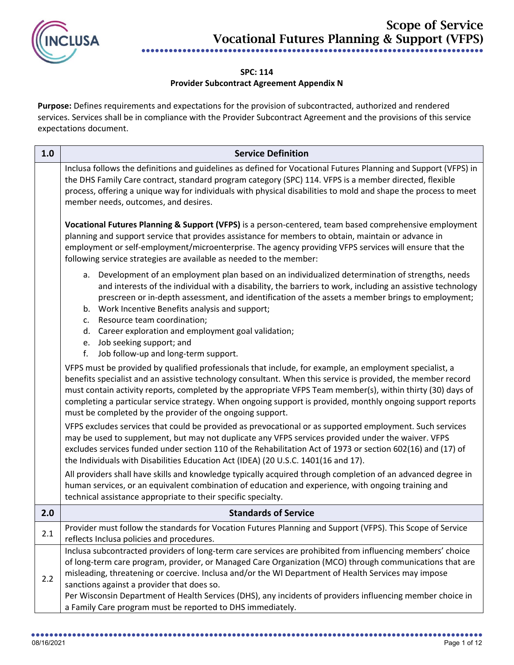

## **SPC: 114**

## **Provider Subcontract Agreement Appendix N**

**Purpose:** Defines requirements and expectations for the provision of subcontracted, authorized and rendered services. Services shall be in compliance with the Provider Subcontract Agreement and the provisions of this service expectations document.

| 1.0 | <b>Service Definition</b>                                                                                                                                                                                                                                                                                                                                                                                                                                                                                          |
|-----|--------------------------------------------------------------------------------------------------------------------------------------------------------------------------------------------------------------------------------------------------------------------------------------------------------------------------------------------------------------------------------------------------------------------------------------------------------------------------------------------------------------------|
|     | Inclusa follows the definitions and guidelines as defined for Vocational Futures Planning and Support (VFPS) in<br>the DHS Family Care contract, standard program category (SPC) 114. VFPS is a member directed, flexible<br>process, offering a unique way for individuals with physical disabilities to mold and shape the process to meet<br>member needs, outcomes, and desires.                                                                                                                               |
|     | Vocational Futures Planning & Support (VFPS) is a person-centered, team based comprehensive employment<br>planning and support service that provides assistance for members to obtain, maintain or advance in<br>employment or self-employment/microenterprise. The agency providing VFPS services will ensure that the<br>following service strategies are available as needed to the member:                                                                                                                     |
|     | a. Development of an employment plan based on an individualized determination of strengths, needs<br>and interests of the individual with a disability, the barriers to work, including an assistive technology<br>prescreen or in-depth assessment, and identification of the assets a member brings to employment;<br>b. Work Incentive Benefits analysis and support;<br>c. Resource team coordination;                                                                                                         |
|     | d. Career exploration and employment goal validation;                                                                                                                                                                                                                                                                                                                                                                                                                                                              |
|     | e. Job seeking support; and                                                                                                                                                                                                                                                                                                                                                                                                                                                                                        |
|     | Job follow-up and long-term support.<br>f.                                                                                                                                                                                                                                                                                                                                                                                                                                                                         |
|     | VFPS must be provided by qualified professionals that include, for example, an employment specialist, a<br>benefits specialist and an assistive technology consultant. When this service is provided, the member record<br>must contain activity reports, completed by the appropriate VFPS Team member(s), within thirty (30) days of<br>completing a particular service strategy. When ongoing support is provided, monthly ongoing support reports<br>must be completed by the provider of the ongoing support. |
|     | VFPS excludes services that could be provided as prevocational or as supported employment. Such services<br>may be used to supplement, but may not duplicate any VFPS services provided under the waiver. VFPS<br>excludes services funded under section 110 of the Rehabilitation Act of 1973 or section 602(16) and (17) of<br>the Individuals with Disabilities Education Act (IDEA) (20 U.S.C. 1401(16 and 17).                                                                                                |
|     | All providers shall have skills and knowledge typically acquired through completion of an advanced degree in<br>human services, or an equivalent combination of education and experience, with ongoing training and<br>technical assistance appropriate to their specific specialty.                                                                                                                                                                                                                               |
| 2.0 | <b>Standards of Service</b>                                                                                                                                                                                                                                                                                                                                                                                                                                                                                        |
| 2.1 | Provider must follow the standards for Vocation Futures Planning and Support (VFPS). This Scope of Service<br>reflects Inclusa policies and procedures.                                                                                                                                                                                                                                                                                                                                                            |
| 2.2 | Inclusa subcontracted providers of long-term care services are prohibited from influencing members' choice<br>of long-term care program, provider, or Managed Care Organization (MCO) through communications that are<br>misleading, threatening or coercive. Inclusa and/or the WI Department of Health Services may impose<br>sanctions against a provider that does so.                                                                                                                                         |
|     | Per Wisconsin Department of Health Services (DHS), any incidents of providers influencing member choice in<br>a Family Care program must be reported to DHS immediately.                                                                                                                                                                                                                                                                                                                                           |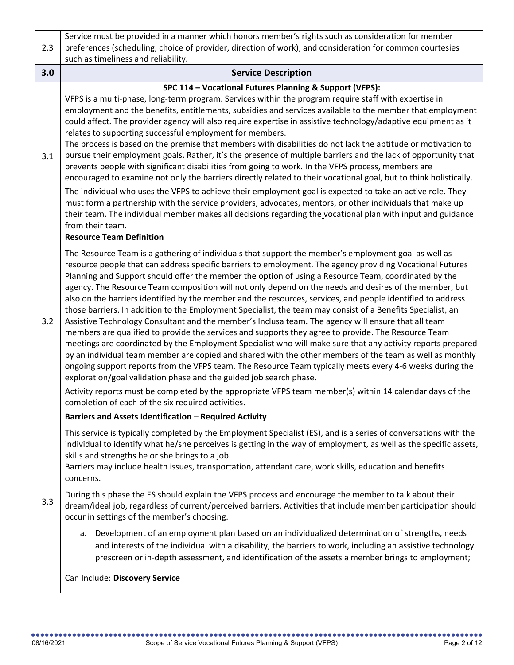|     | Service must be provided in a manner which honors member's rights such as consideration for member                                                                                                                                                                                                                                                                                                                                                                                                                                                                                                                                                                                                                                                                                                                                                                                                                                                                                                                                                                                                                                                                                                                                                                                                                                                                                                       |
|-----|----------------------------------------------------------------------------------------------------------------------------------------------------------------------------------------------------------------------------------------------------------------------------------------------------------------------------------------------------------------------------------------------------------------------------------------------------------------------------------------------------------------------------------------------------------------------------------------------------------------------------------------------------------------------------------------------------------------------------------------------------------------------------------------------------------------------------------------------------------------------------------------------------------------------------------------------------------------------------------------------------------------------------------------------------------------------------------------------------------------------------------------------------------------------------------------------------------------------------------------------------------------------------------------------------------------------------------------------------------------------------------------------------------|
| 2.3 | preferences (scheduling, choice of provider, direction of work), and consideration for common courtesies                                                                                                                                                                                                                                                                                                                                                                                                                                                                                                                                                                                                                                                                                                                                                                                                                                                                                                                                                                                                                                                                                                                                                                                                                                                                                                 |
|     | such as timeliness and reliability.                                                                                                                                                                                                                                                                                                                                                                                                                                                                                                                                                                                                                                                                                                                                                                                                                                                                                                                                                                                                                                                                                                                                                                                                                                                                                                                                                                      |
| 3.0 | <b>Service Description</b>                                                                                                                                                                                                                                                                                                                                                                                                                                                                                                                                                                                                                                                                                                                                                                                                                                                                                                                                                                                                                                                                                                                                                                                                                                                                                                                                                                               |
| 3.1 | SPC 114 - Vocational Futures Planning & Support (VFPS):<br>VFPS is a multi-phase, long-term program. Services within the program require staff with expertise in                                                                                                                                                                                                                                                                                                                                                                                                                                                                                                                                                                                                                                                                                                                                                                                                                                                                                                                                                                                                                                                                                                                                                                                                                                         |
|     | employment and the benefits, entitlements, subsidies and services available to the member that employment<br>could affect. The provider agency will also require expertise in assistive technology/adaptive equipment as it<br>relates to supporting successful employment for members.                                                                                                                                                                                                                                                                                                                                                                                                                                                                                                                                                                                                                                                                                                                                                                                                                                                                                                                                                                                                                                                                                                                  |
|     | The process is based on the premise that members with disabilities do not lack the aptitude or motivation to<br>pursue their employment goals. Rather, it's the presence of multiple barriers and the lack of opportunity that<br>prevents people with significant disabilities from going to work. In the VFPS process, members are<br>encouraged to examine not only the barriers directly related to their vocational goal, but to think holistically.                                                                                                                                                                                                                                                                                                                                                                                                                                                                                                                                                                                                                                                                                                                                                                                                                                                                                                                                                |
|     | The individual who uses the VFPS to achieve their employment goal is expected to take an active role. They<br>must form a partnership with the service providers, advocates, mentors, or other individuals that make up<br>their team. The individual member makes all decisions regarding the vocational plan with input and guidance                                                                                                                                                                                                                                                                                                                                                                                                                                                                                                                                                                                                                                                                                                                                                                                                                                                                                                                                                                                                                                                                   |
|     | from their team.                                                                                                                                                                                                                                                                                                                                                                                                                                                                                                                                                                                                                                                                                                                                                                                                                                                                                                                                                                                                                                                                                                                                                                                                                                                                                                                                                                                         |
|     | <b>Resource Team Definition</b>                                                                                                                                                                                                                                                                                                                                                                                                                                                                                                                                                                                                                                                                                                                                                                                                                                                                                                                                                                                                                                                                                                                                                                                                                                                                                                                                                                          |
| 3.2 | The Resource Team is a gathering of individuals that support the member's employment goal as well as<br>resource people that can address specific barriers to employment. The agency providing Vocational Futures<br>Planning and Support should offer the member the option of using a Resource Team, coordinated by the<br>agency. The Resource Team composition will not only depend on the needs and desires of the member, but<br>also on the barriers identified by the member and the resources, services, and people identified to address<br>those barriers. In addition to the Employment Specialist, the team may consist of a Benefits Specialist, an<br>Assistive Technology Consultant and the member's Inclusa team. The agency will ensure that all team<br>members are qualified to provide the services and supports they agree to provide. The Resource Team<br>meetings are coordinated by the Employment Specialist who will make sure that any activity reports prepared<br>by an individual team member are copied and shared with the other members of the team as well as monthly<br>ongoing support reports from the VFPS team. The Resource Team typically meets every 4-6 weeks during the<br>exploration/goal validation phase and the guided job search phase.<br>Activity reports must be completed by the appropriate VFPS team member(s) within 14 calendar days of the |
|     | completion of each of the six required activities.                                                                                                                                                                                                                                                                                                                                                                                                                                                                                                                                                                                                                                                                                                                                                                                                                                                                                                                                                                                                                                                                                                                                                                                                                                                                                                                                                       |
|     | <b>Barriers and Assets Identification - Required Activity</b>                                                                                                                                                                                                                                                                                                                                                                                                                                                                                                                                                                                                                                                                                                                                                                                                                                                                                                                                                                                                                                                                                                                                                                                                                                                                                                                                            |
| 3.3 | This service is typically completed by the Employment Specialist (ES), and is a series of conversations with the<br>individual to identify what he/she perceives is getting in the way of employment, as well as the specific assets,<br>skills and strengths he or she brings to a job.<br>Barriers may include health issues, transportation, attendant care, work skills, education and benefits<br>concerns.                                                                                                                                                                                                                                                                                                                                                                                                                                                                                                                                                                                                                                                                                                                                                                                                                                                                                                                                                                                         |
|     | During this phase the ES should explain the VFPS process and encourage the member to talk about their<br>dream/ideal job, regardless of current/perceived barriers. Activities that include member participation should<br>occur in settings of the member's choosing.                                                                                                                                                                                                                                                                                                                                                                                                                                                                                                                                                                                                                                                                                                                                                                                                                                                                                                                                                                                                                                                                                                                                   |
|     | Development of an employment plan based on an individualized determination of strengths, needs<br>а.<br>and interests of the individual with a disability, the barriers to work, including an assistive technology<br>prescreen or in-depth assessment, and identification of the assets a member brings to employment;                                                                                                                                                                                                                                                                                                                                                                                                                                                                                                                                                                                                                                                                                                                                                                                                                                                                                                                                                                                                                                                                                  |
|     | Can Include: Discovery Service                                                                                                                                                                                                                                                                                                                                                                                                                                                                                                                                                                                                                                                                                                                                                                                                                                                                                                                                                                                                                                                                                                                                                                                                                                                                                                                                                                           |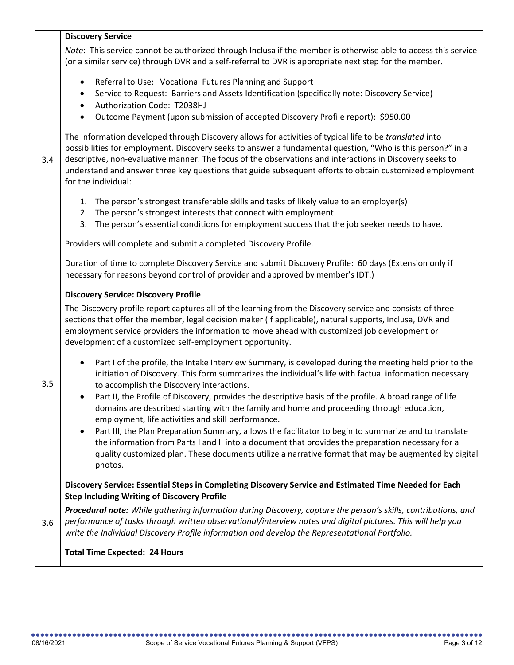|     | <b>Discovery Service</b>                                                                                                                                                                                                                                                                                                                                                                                                                                            |
|-----|---------------------------------------------------------------------------------------------------------------------------------------------------------------------------------------------------------------------------------------------------------------------------------------------------------------------------------------------------------------------------------------------------------------------------------------------------------------------|
|     | Note: This service cannot be authorized through Inclusa if the member is otherwise able to access this service<br>(or a similar service) through DVR and a self-referral to DVR is appropriate next step for the member.                                                                                                                                                                                                                                            |
| 3.4 | Referral to Use: Vocational Futures Planning and Support<br>$\bullet$<br>Service to Request: Barriers and Assets Identification (specifically note: Discovery Service)<br>$\bullet$<br>Authorization Code: T2038HJ<br>$\bullet$<br>Outcome Payment (upon submission of accepted Discovery Profile report): \$950.00<br>$\bullet$                                                                                                                                    |
|     | The information developed through Discovery allows for activities of typical life to be translated into<br>possibilities for employment. Discovery seeks to answer a fundamental question, "Who is this person?" in a<br>descriptive, non-evaluative manner. The focus of the observations and interactions in Discovery seeks to<br>understand and answer three key questions that guide subsequent efforts to obtain customized employment<br>for the individual: |
|     | The person's strongest transferable skills and tasks of likely value to an employer(s)<br>1.<br>The person's strongest interests that connect with employment<br>2.<br>The person's essential conditions for employment success that the job seeker needs to have.<br>3.                                                                                                                                                                                            |
|     | Providers will complete and submit a completed Discovery Profile.                                                                                                                                                                                                                                                                                                                                                                                                   |
|     | Duration of time to complete Discovery Service and submit Discovery Profile: 60 days (Extension only if<br>necessary for reasons beyond control of provider and approved by member's IDT.)                                                                                                                                                                                                                                                                          |
|     | <b>Discovery Service: Discovery Profile</b>                                                                                                                                                                                                                                                                                                                                                                                                                         |
| 3.5 | The Discovery profile report captures all of the learning from the Discovery service and consists of three<br>sections that offer the member, legal decision maker (if applicable), natural supports, Inclusa, DVR and<br>employment service providers the information to move ahead with customized job development or<br>development of a customized self-employment opportunity.                                                                                 |
|     | Part I of the profile, the Intake Interview Summary, is developed during the meeting held prior to the<br>initiation of Discovery. This form summarizes the individual's life with factual information necessary<br>to accomplish the Discovery interactions.                                                                                                                                                                                                       |
|     | Part II, the Profile of Discovery, provides the descriptive basis of the profile. A broad range of life<br>domains are described starting with the family and home and proceeding through education,<br>employment, life activities and skill performance.                                                                                                                                                                                                          |
|     | Part III, the Plan Preparation Summary, allows the facilitator to begin to summarize and to translate<br>the information from Parts I and II into a document that provides the preparation necessary for a<br>quality customized plan. These documents utilize a narrative format that may be augmented by digital<br>photos.                                                                                                                                       |
|     | Discovery Service: Essential Steps in Completing Discovery Service and Estimated Time Needed for Each<br><b>Step Including Writing of Discovery Profile</b>                                                                                                                                                                                                                                                                                                         |
| 3.6 | Procedural note: While gathering information during Discovery, capture the person's skills, contributions, and<br>performance of tasks through written observational/interview notes and digital pictures. This will help you<br>write the Individual Discovery Profile information and develop the Representational Portfolio.                                                                                                                                     |
|     | <b>Total Time Expected: 24 Hours</b>                                                                                                                                                                                                                                                                                                                                                                                                                                |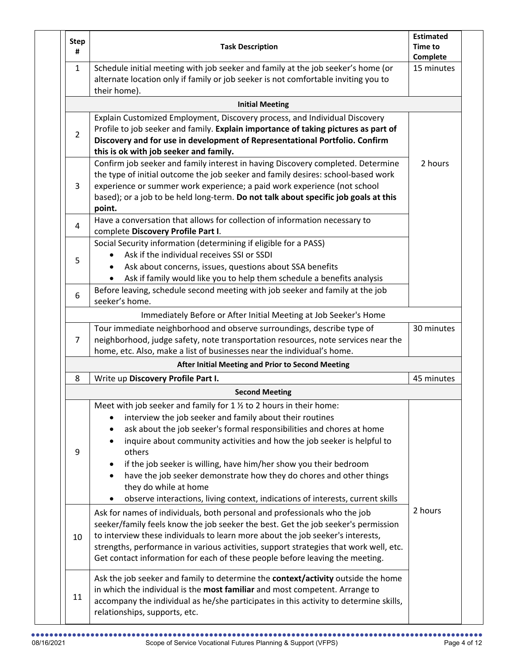| <b>Step</b><br># | <b>Task Description</b>                                                                                                                                                                                                                                                                                                                                                                                                                                                                                                                            | <b>Estimated</b><br><b>Time to</b><br>Complete |
|------------------|----------------------------------------------------------------------------------------------------------------------------------------------------------------------------------------------------------------------------------------------------------------------------------------------------------------------------------------------------------------------------------------------------------------------------------------------------------------------------------------------------------------------------------------------------|------------------------------------------------|
| $\mathbf{1}$     | Schedule initial meeting with job seeker and family at the job seeker's home (or<br>alternate location only if family or job seeker is not comfortable inviting you to<br>their home).                                                                                                                                                                                                                                                                                                                                                             | 15 minutes                                     |
|                  | <b>Initial Meeting</b>                                                                                                                                                                                                                                                                                                                                                                                                                                                                                                                             |                                                |
| $\overline{2}$   | Explain Customized Employment, Discovery process, and Individual Discovery<br>Profile to job seeker and family. Explain importance of taking pictures as part of<br>Discovery and for use in development of Representational Portfolio. Confirm<br>this is ok with job seeker and family.                                                                                                                                                                                                                                                          |                                                |
| 3                | Confirm job seeker and family interest in having Discovery completed. Determine<br>the type of initial outcome the job seeker and family desires: school-based work<br>experience or summer work experience; a paid work experience (not school<br>based); or a job to be held long-term. Do not talk about specific job goals at this<br>point.                                                                                                                                                                                                   | 2 hours                                        |
| 4                | Have a conversation that allows for collection of information necessary to<br>complete Discovery Profile Part I.                                                                                                                                                                                                                                                                                                                                                                                                                                   |                                                |
| 5                | Social Security information (determining if eligible for a PASS)<br>Ask if the individual receives SSI or SSDI<br>Ask about concerns, issues, questions about SSA benefits<br>Ask if family would like you to help them schedule a benefits analysis                                                                                                                                                                                                                                                                                               |                                                |
| 6                | Before leaving, schedule second meeting with job seeker and family at the job<br>seeker's home.                                                                                                                                                                                                                                                                                                                                                                                                                                                    |                                                |
|                  | Immediately Before or After Initial Meeting at Job Seeker's Home                                                                                                                                                                                                                                                                                                                                                                                                                                                                                   |                                                |
| $\overline{7}$   | Tour immediate neighborhood and observe surroundings, describe type of<br>neighborhood, judge safety, note transportation resources, note services near the<br>home, etc. Also, make a list of businesses near the individual's home.                                                                                                                                                                                                                                                                                                              | 30 minutes                                     |
|                  | After Initial Meeting and Prior to Second Meeting                                                                                                                                                                                                                                                                                                                                                                                                                                                                                                  |                                                |
| 8                | Write up Discovery Profile Part I.                                                                                                                                                                                                                                                                                                                                                                                                                                                                                                                 | 45 minutes                                     |
|                  | <b>Second Meeting</b>                                                                                                                                                                                                                                                                                                                                                                                                                                                                                                                              |                                                |
| 9                | Meet with job seeker and family for 1 % to 2 hours in their home:<br>interview the job seeker and family about their routines<br>ask about the job seeker's formal responsibilities and chores at home<br>inquire about community activities and how the job seeker is helpful to<br>others<br>if the job seeker is willing, have him/her show you their bedroom<br>have the job seeker demonstrate how they do chores and other things<br>they do while at home<br>observe interactions, living context, indications of interests, current skills |                                                |
| 10               | Ask for names of individuals, both personal and professionals who the job<br>seeker/family feels know the job seeker the best. Get the job seeker's permission<br>to interview these individuals to learn more about the job seeker's interests,<br>strengths, performance in various activities, support strategies that work well, etc.<br>Get contact information for each of these people before leaving the meeting.                                                                                                                          | 2 hours                                        |
| 11               | Ask the job seeker and family to determine the context/activity outside the home<br>in which the individual is the most familiar and most competent. Arrange to<br>accompany the individual as he/she participates in this activity to determine skills,<br>relationships, supports, etc.                                                                                                                                                                                                                                                          |                                                |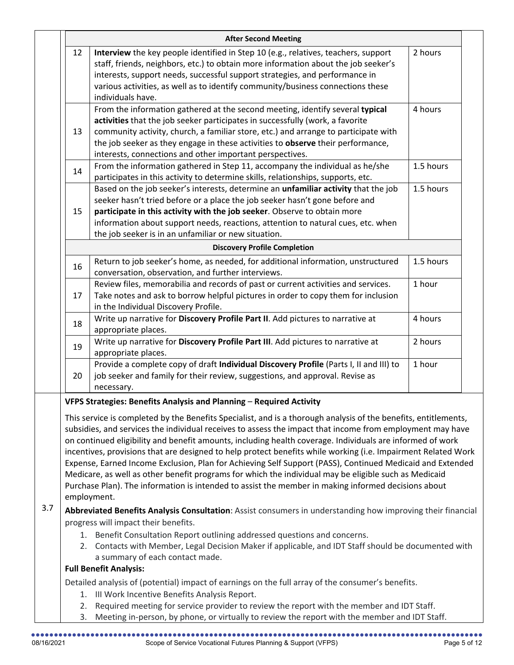|     |          | <b>After Second Meeting</b>                                                                                                                                                                                                                                                                                                                                                                                                                                                                                                                                                                                                                                                                                                                                                                            |           |  |
|-----|----------|--------------------------------------------------------------------------------------------------------------------------------------------------------------------------------------------------------------------------------------------------------------------------------------------------------------------------------------------------------------------------------------------------------------------------------------------------------------------------------------------------------------------------------------------------------------------------------------------------------------------------------------------------------------------------------------------------------------------------------------------------------------------------------------------------------|-----------|--|
|     | 12       | Interview the key people identified in Step 10 (e.g., relatives, teachers, support<br>staff, friends, neighbors, etc.) to obtain more information about the job seeker's<br>interests, support needs, successful support strategies, and performance in<br>various activities, as well as to identify community/business connections these<br>individuals have.                                                                                                                                                                                                                                                                                                                                                                                                                                        | 2 hours   |  |
|     | 13       | From the information gathered at the second meeting, identify several typical<br>activities that the job seeker participates in successfully (work, a favorite<br>community activity, church, a familiar store, etc.) and arrange to participate with<br>the job seeker as they engage in these activities to observe their performance,<br>interests, connections and other important perspectives.                                                                                                                                                                                                                                                                                                                                                                                                   | 4 hours   |  |
|     | 14       | From the information gathered in Step 11, accompany the individual as he/she<br>participates in this activity to determine skills, relationships, supports, etc.                                                                                                                                                                                                                                                                                                                                                                                                                                                                                                                                                                                                                                       | 1.5 hours |  |
|     | 15       | Based on the job seeker's interests, determine an <i>unfamiliar activity</i> that the job<br>seeker hasn't tried before or a place the job seeker hasn't gone before and<br>participate in this activity with the job seeker. Observe to obtain more<br>information about support needs, reactions, attention to natural cues, etc. when<br>the job seeker is in an unfamiliar or new situation.                                                                                                                                                                                                                                                                                                                                                                                                       | 1.5 hours |  |
|     |          | <b>Discovery Profile Completion</b>                                                                                                                                                                                                                                                                                                                                                                                                                                                                                                                                                                                                                                                                                                                                                                    |           |  |
|     | 16       | Return to job seeker's home, as needed, for additional information, unstructured<br>conversation, observation, and further interviews.                                                                                                                                                                                                                                                                                                                                                                                                                                                                                                                                                                                                                                                                 | 1.5 hours |  |
|     | 17       | Review files, memorabilia and records of past or current activities and services.<br>Take notes and ask to borrow helpful pictures in order to copy them for inclusion<br>in the Individual Discovery Profile.                                                                                                                                                                                                                                                                                                                                                                                                                                                                                                                                                                                         | 1 hour    |  |
|     | 18       | Write up narrative for Discovery Profile Part II. Add pictures to narrative at<br>appropriate places.                                                                                                                                                                                                                                                                                                                                                                                                                                                                                                                                                                                                                                                                                                  | 4 hours   |  |
|     | 19       | Write up narrative for Discovery Profile Part III. Add pictures to narrative at<br>appropriate places.                                                                                                                                                                                                                                                                                                                                                                                                                                                                                                                                                                                                                                                                                                 | 2 hours   |  |
|     | 20       | Provide a complete copy of draft Individual Discovery Profile (Parts I, II and III) to<br>job seeker and family for their review, suggestions, and approval. Revise as                                                                                                                                                                                                                                                                                                                                                                                                                                                                                                                                                                                                                                 | 1 hour    |  |
|     |          | necessary.<br>VFPS Strategies: Benefits Analysis and Planning - Required Activity                                                                                                                                                                                                                                                                                                                                                                                                                                                                                                                                                                                                                                                                                                                      |           |  |
|     |          | This service is completed by the Benefits Specialist, and is a thorough analysis of the benefits, entitlements,<br>subsidies, and services the individual receives to assess the impact that income from employment may have<br>on continued eligibility and benefit amounts, including health coverage. Individuals are informed of work<br>incentives, provisions that are designed to help protect benefits while working (i.e. Impairment Related Work<br>Expense, Earned Income Exclusion, Plan for Achieving Self Support (PASS), Continued Medicaid and Extended<br>Medicare, as well as other benefit programs for which the individual may be eligible such as Medicaid<br>Purchase Plan). The information is intended to assist the member in making informed decisions about<br>employment. |           |  |
| 3.7 |          | Abbreviated Benefits Analysis Consultation: Assist consumers in understanding how improving their financial<br>progress will impact their benefits.<br>1. Benefit Consultation Report outlining addressed questions and concerns.<br>2. Contacts with Member, Legal Decision Maker if applicable, and IDT Staff should be documented with<br>a summary of each contact made.                                                                                                                                                                                                                                                                                                                                                                                                                           |           |  |
|     |          | <b>Full Benefit Analysis:</b><br>Detailed analysis of (potential) impact of earnings on the full array of the consumer's benefits.                                                                                                                                                                                                                                                                                                                                                                                                                                                                                                                                                                                                                                                                     |           |  |
|     | 2.<br>3. | 1. III Work Incentive Benefits Analysis Report.<br>Required meeting for service provider to review the report with the member and IDT Staff.<br>Meeting in-person, by phone, or virtually to review the report with the member and IDT Staff.                                                                                                                                                                                                                                                                                                                                                                                                                                                                                                                                                          |           |  |
|     |          |                                                                                                                                                                                                                                                                                                                                                                                                                                                                                                                                                                                                                                                                                                                                                                                                        |           |  |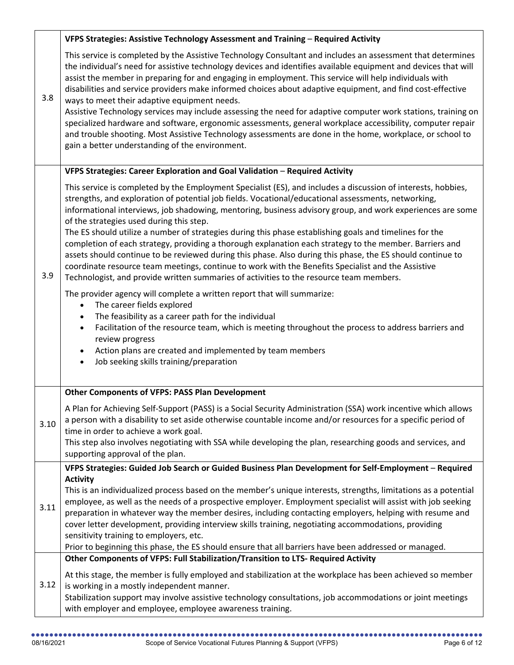|      | VFPS Strategies: Assistive Technology Assessment and Training - Required Activity                                                                                                                                                                                                                                                                                                                                                                                                                                                                                                                                                                                                                                                                                                                                                                                                                                   |
|------|---------------------------------------------------------------------------------------------------------------------------------------------------------------------------------------------------------------------------------------------------------------------------------------------------------------------------------------------------------------------------------------------------------------------------------------------------------------------------------------------------------------------------------------------------------------------------------------------------------------------------------------------------------------------------------------------------------------------------------------------------------------------------------------------------------------------------------------------------------------------------------------------------------------------|
| 3.8  | This service is completed by the Assistive Technology Consultant and includes an assessment that determines<br>the individual's need for assistive technology devices and identifies available equipment and devices that will<br>assist the member in preparing for and engaging in employment. This service will help individuals with<br>disabilities and service providers make informed choices about adaptive equipment, and find cost-effective<br>ways to meet their adaptive equipment needs.<br>Assistive Technology services may include assessing the need for adaptive computer work stations, training on<br>specialized hardware and software, ergonomic assessments, general workplace accessibility, computer repair<br>and trouble shooting. Most Assistive Technology assessments are done in the home, workplace, or school to<br>gain a better understanding of the environment.               |
|      | VFPS Strategies: Career Exploration and Goal Validation - Required Activity                                                                                                                                                                                                                                                                                                                                                                                                                                                                                                                                                                                                                                                                                                                                                                                                                                         |
| 3.9  | This service is completed by the Employment Specialist (ES), and includes a discussion of interests, hobbies,<br>strengths, and exploration of potential job fields. Vocational/educational assessments, networking,<br>informational interviews, job shadowing, mentoring, business advisory group, and work experiences are some<br>of the strategies used during this step.<br>The ES should utilize a number of strategies during this phase establishing goals and timelines for the<br>completion of each strategy, providing a thorough explanation each strategy to the member. Barriers and<br>assets should continue to be reviewed during this phase. Also during this phase, the ES should continue to<br>coordinate resource team meetings, continue to work with the Benefits Specialist and the Assistive<br>Technologist, and provide written summaries of activities to the resource team members. |
|      | The provider agency will complete a written report that will summarize:<br>The career fields explored<br>$\bullet$<br>The feasibility as a career path for the individual<br>$\bullet$<br>Facilitation of the resource team, which is meeting throughout the process to address barriers and<br>$\bullet$<br>review progress<br>Action plans are created and implemented by team members<br>Job seeking skills training/preparation<br>$\bullet$                                                                                                                                                                                                                                                                                                                                                                                                                                                                    |
|      | <b>Other Components of VFPS: PASS Plan Development</b>                                                                                                                                                                                                                                                                                                                                                                                                                                                                                                                                                                                                                                                                                                                                                                                                                                                              |
| 3.10 | A Plan for Achieving Self-Support (PASS) is a Social Security Administration (SSA) work incentive which allows<br>a person with a disability to set aside otherwise countable income and/or resources for a specific period of<br>time in order to achieve a work goal.<br>This step also involves negotiating with SSA while developing the plan, researching goods and services, and<br>supporting approval of the plan.                                                                                                                                                                                                                                                                                                                                                                                                                                                                                          |
|      | VFPS Strategies: Guided Job Search or Guided Business Plan Development for Self-Employment - Required                                                                                                                                                                                                                                                                                                                                                                                                                                                                                                                                                                                                                                                                                                                                                                                                               |
| 3.11 | <b>Activity</b><br>This is an individualized process based on the member's unique interests, strengths, limitations as a potential<br>employee, as well as the needs of a prospective employer. Employment specialist will assist with job seeking<br>preparation in whatever way the member desires, including contacting employers, helping with resume and<br>cover letter development, providing interview skills training, negotiating accommodations, providing<br>sensitivity training to employers, etc.<br>Prior to beginning this phase, the ES should ensure that all barriers have been addressed or managed.                                                                                                                                                                                                                                                                                           |
|      | Other Components of VFPS: Full Stabilization/Transition to LTS- Required Activity                                                                                                                                                                                                                                                                                                                                                                                                                                                                                                                                                                                                                                                                                                                                                                                                                                   |
| 3.12 | At this stage, the member is fully employed and stabilization at the workplace has been achieved so member<br>is working in a mostly independent manner.<br>Stabilization support may involve assistive technology consultations, job accommodations or joint meetings<br>with employer and employee, employee awareness training.                                                                                                                                                                                                                                                                                                                                                                                                                                                                                                                                                                                  |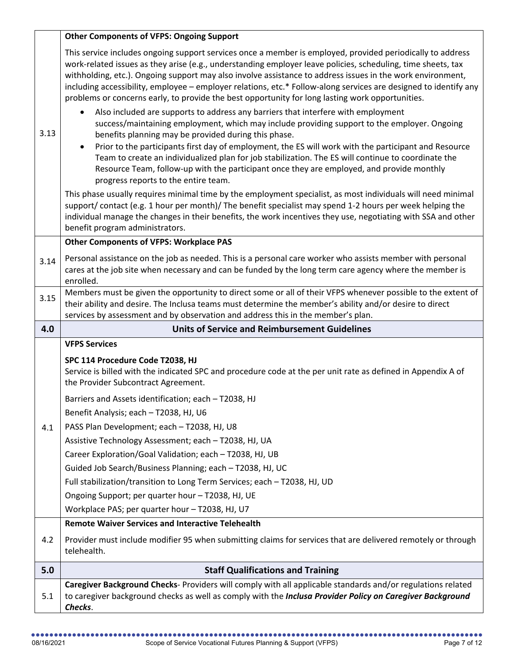|      | <b>Other Components of VFPS: Ongoing Support</b>                                                                                                                                                                                                                                                                                                                                                                                                                                                                                                                                                                                                      |
|------|-------------------------------------------------------------------------------------------------------------------------------------------------------------------------------------------------------------------------------------------------------------------------------------------------------------------------------------------------------------------------------------------------------------------------------------------------------------------------------------------------------------------------------------------------------------------------------------------------------------------------------------------------------|
|      | This service includes ongoing support services once a member is employed, provided periodically to address<br>work-related issues as they arise (e.g., understanding employer leave policies, scheduling, time sheets, tax<br>withholding, etc.). Ongoing support may also involve assistance to address issues in the work environment,<br>including accessibility, employee - employer relations, etc.* Follow-along services are designed to identify any<br>problems or concerns early, to provide the best opportunity for long lasting work opportunities.<br>Also included are supports to address any barriers that interfere with employment |
| 3.13 | success/maintaining employment, which may include providing support to the employer. Ongoing<br>benefits planning may be provided during this phase.<br>Prior to the participants first day of employment, the ES will work with the participant and Resource<br>$\bullet$<br>Team to create an individualized plan for job stabilization. The ES will continue to coordinate the<br>Resource Team, follow-up with the participant once they are employed, and provide monthly<br>progress reports to the entire team.                                                                                                                                |
|      | This phase usually requires minimal time by the employment specialist, as most individuals will need minimal<br>support/contact (e.g. 1 hour per month)/ The benefit specialist may spend 1-2 hours per week helping the<br>individual manage the changes in their benefits, the work incentives they use, negotiating with SSA and other<br>benefit program administrators.                                                                                                                                                                                                                                                                          |
|      | <b>Other Components of VFPS: Workplace PAS</b>                                                                                                                                                                                                                                                                                                                                                                                                                                                                                                                                                                                                        |
| 3.14 | Personal assistance on the job as needed. This is a personal care worker who assists member with personal<br>cares at the job site when necessary and can be funded by the long term care agency where the member is<br>enrolled.                                                                                                                                                                                                                                                                                                                                                                                                                     |
| 3.15 | Members must be given the opportunity to direct some or all of their VFPS whenever possible to the extent of<br>their ability and desire. The Inclusa teams must determine the member's ability and/or desire to direct<br>services by assessment and by observation and address this in the member's plan.                                                                                                                                                                                                                                                                                                                                           |
|      |                                                                                                                                                                                                                                                                                                                                                                                                                                                                                                                                                                                                                                                       |
| 4.0  | <b>Units of Service and Reimbursement Guidelines</b>                                                                                                                                                                                                                                                                                                                                                                                                                                                                                                                                                                                                  |
|      | <b>VFPS Services</b>                                                                                                                                                                                                                                                                                                                                                                                                                                                                                                                                                                                                                                  |
|      | SPC 114 Procedure Code T2038, HJ<br>Service is billed with the indicated SPC and procedure code at the per unit rate as defined in Appendix A of<br>the Provider Subcontract Agreement.                                                                                                                                                                                                                                                                                                                                                                                                                                                               |
|      | Barriers and Assets identification; each - T2038, HJ                                                                                                                                                                                                                                                                                                                                                                                                                                                                                                                                                                                                  |
|      | Benefit Analysis; each - T2038, HJ, U6                                                                                                                                                                                                                                                                                                                                                                                                                                                                                                                                                                                                                |
| 4.1  | PASS Plan Development; each - T2038, HJ, U8                                                                                                                                                                                                                                                                                                                                                                                                                                                                                                                                                                                                           |
|      | Assistive Technology Assessment; each - T2038, HJ, UA                                                                                                                                                                                                                                                                                                                                                                                                                                                                                                                                                                                                 |
|      | Career Exploration/Goal Validation; each - T2038, HJ, UB<br>Guided Job Search/Business Planning; each - T2038, HJ, UC                                                                                                                                                                                                                                                                                                                                                                                                                                                                                                                                 |
|      | Full stabilization/transition to Long Term Services; each - T2038, HJ, UD                                                                                                                                                                                                                                                                                                                                                                                                                                                                                                                                                                             |
|      | Ongoing Support; per quarter hour - T2038, HJ, UE                                                                                                                                                                                                                                                                                                                                                                                                                                                                                                                                                                                                     |
|      | Workplace PAS; per quarter hour - T2038, HJ, U7                                                                                                                                                                                                                                                                                                                                                                                                                                                                                                                                                                                                       |
|      | <b>Remote Waiver Services and Interactive Telehealth</b>                                                                                                                                                                                                                                                                                                                                                                                                                                                                                                                                                                                              |
| 4.2  | Provider must include modifier 95 when submitting claims for services that are delivered remotely or through<br>telehealth.                                                                                                                                                                                                                                                                                                                                                                                                                                                                                                                           |
| 5.0  | <b>Staff Qualifications and Training</b>                                                                                                                                                                                                                                                                                                                                                                                                                                                                                                                                                                                                              |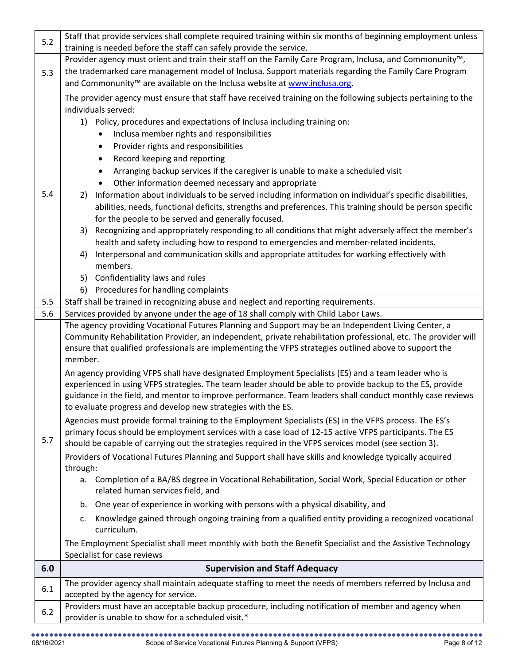| 5.2 | Staff that provide services shall complete required training within six months of beginning employment unless<br>training is needed before the staff can safely provide the service.                             |
|-----|------------------------------------------------------------------------------------------------------------------------------------------------------------------------------------------------------------------|
|     | Provider agency must orient and train their staff on the Family Care Program, Inclusa, and Commonunity™,                                                                                                         |
| 5.3 | the trademarked care management model of Inclusa. Support materials regarding the Family Care Program                                                                                                            |
|     | and Commonunity <sup>™</sup> are available on the Inclusa website at www.inclusa.org.                                                                                                                            |
|     | The provider agency must ensure that staff have received training on the following subjects pertaining to the                                                                                                    |
|     | individuals served:                                                                                                                                                                                              |
|     | 1) Policy, procedures and expectations of Inclusa including training on:                                                                                                                                         |
|     | Inclusa member rights and responsibilities                                                                                                                                                                       |
|     | ٠<br>Provider rights and responsibilities                                                                                                                                                                        |
|     | ٠                                                                                                                                                                                                                |
|     | Record keeping and reporting<br>$\bullet$                                                                                                                                                                        |
|     | Arranging backup services if the caregiver is unable to make a scheduled visit<br>٠                                                                                                                              |
| 5.4 | Other information deemed necessary and appropriate                                                                                                                                                               |
|     | Information about individuals to be served including information on individual's specific disabilities,<br>2)                                                                                                    |
|     | abilities, needs, functional deficits, strengths and preferences. This training should be person specific<br>for the people to be served and generally focused.                                                  |
|     | Recognizing and appropriately responding to all conditions that might adversely affect the member's<br>3)                                                                                                        |
|     | health and safety including how to respond to emergencies and member-related incidents.                                                                                                                          |
|     | Interpersonal and communication skills and appropriate attitudes for working effectively with<br>4)                                                                                                              |
|     | members.                                                                                                                                                                                                         |
|     | Confidentiality laws and rules<br>5)                                                                                                                                                                             |
|     | Procedures for handling complaints<br>6)                                                                                                                                                                         |
| 5.5 | Staff shall be trained in recognizing abuse and neglect and reporting requirements.                                                                                                                              |
| 5.6 | Services provided by anyone under the age of 18 shall comply with Child Labor Laws.                                                                                                                              |
|     | The agency providing Vocational Futures Planning and Support may be an Independent Living Center, a                                                                                                              |
|     | Community Rehabilitation Provider, an independent, private rehabilitation professional, etc. The provider will                                                                                                   |
|     | ensure that qualified professionals are implementing the VFPS strategies outlined above to support the                                                                                                           |
|     | member.                                                                                                                                                                                                          |
|     | An agency providing VFPS shall have designated Employment Specialists (ES) and a team leader who is                                                                                                              |
|     | experienced in using VFPS strategies. The team leader should be able to provide backup to the ES, provide                                                                                                        |
|     | guidance in the field, and mentor to improve performance. Team leaders shall conduct monthly case reviews<br>to evaluate progress and develop new strategies with the ES.                                        |
|     |                                                                                                                                                                                                                  |
|     | Agencies must provide formal training to the Employment Specialists (ES) in the VFPS process. The ES's<br>primary focus should be employment services with a case load of 12-15 active VFPS participants. The ES |
| 5.7 | should be capable of carrying out the strategies required in the VFPS services model (see section 3).                                                                                                            |
|     | Providers of Vocational Futures Planning and Support shall have skills and knowledge typically acquired                                                                                                          |
|     | through:                                                                                                                                                                                                         |
|     | a. Completion of a BA/BS degree in Vocational Rehabilitation, Social Work, Special Education or other                                                                                                            |
|     | related human services field, and                                                                                                                                                                                |
|     | One year of experience in working with persons with a physical disability, and<br>b.                                                                                                                             |
|     | Knowledge gained through ongoing training from a qualified entity providing a recognized vocational<br>c.                                                                                                        |
|     | curriculum.                                                                                                                                                                                                      |
|     | The Employment Specialist shall meet monthly with both the Benefit Specialist and the Assistive Technology                                                                                                       |
|     | Specialist for case reviews                                                                                                                                                                                      |
| 6.0 | <b>Supervision and Staff Adequacy</b>                                                                                                                                                                            |
| 6.1 | The provider agency shall maintain adequate staffing to meet the needs of members referred by Inclusa and                                                                                                        |
|     | accepted by the agency for service.                                                                                                                                                                              |
| 6.2 | Providers must have an acceptable backup procedure, including notification of member and agency when<br>provider is unable to show for a scheduled visit.*                                                       |
|     |                                                                                                                                                                                                                  |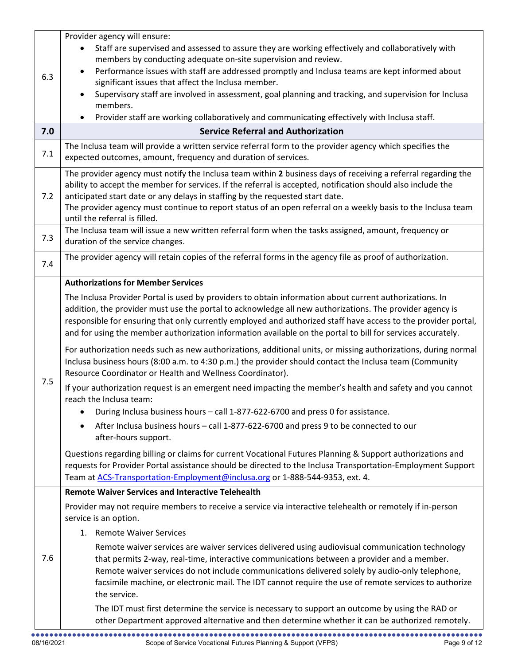| 6.3<br>7.0 | Provider agency will ensure:<br>Staff are supervised and assessed to assure they are working effectively and collaboratively with<br>members by conducting adequate on-site supervision and review.<br>Performance issues with staff are addressed promptly and Inclusa teams are kept informed about<br>$\bullet$<br>significant issues that affect the Inclusa member.<br>Supervisory staff are involved in assessment, goal planning and tracking, and supervision for Inclusa<br>members.<br>Provider staff are working collaboratively and communicating effectively with Inclusa staff.<br>$\bullet$<br><b>Service Referral and Authorization</b>                                                                                                                                                                                                                                                                                                                                                                                                                                                                                                                                                                                                                                                                                                                                                                                              |
|------------|------------------------------------------------------------------------------------------------------------------------------------------------------------------------------------------------------------------------------------------------------------------------------------------------------------------------------------------------------------------------------------------------------------------------------------------------------------------------------------------------------------------------------------------------------------------------------------------------------------------------------------------------------------------------------------------------------------------------------------------------------------------------------------------------------------------------------------------------------------------------------------------------------------------------------------------------------------------------------------------------------------------------------------------------------------------------------------------------------------------------------------------------------------------------------------------------------------------------------------------------------------------------------------------------------------------------------------------------------------------------------------------------------------------------------------------------------|
|            |                                                                                                                                                                                                                                                                                                                                                                                                                                                                                                                                                                                                                                                                                                                                                                                                                                                                                                                                                                                                                                                                                                                                                                                                                                                                                                                                                                                                                                                      |
| 7.1        | The Inclusa team will provide a written service referral form to the provider agency which specifies the<br>expected outcomes, amount, frequency and duration of services.                                                                                                                                                                                                                                                                                                                                                                                                                                                                                                                                                                                                                                                                                                                                                                                                                                                                                                                                                                                                                                                                                                                                                                                                                                                                           |
| 7.2        | The provider agency must notify the Inclusa team within 2 business days of receiving a referral regarding the<br>ability to accept the member for services. If the referral is accepted, notification should also include the<br>anticipated start date or any delays in staffing by the requested start date.<br>The provider agency must continue to report status of an open referral on a weekly basis to the Inclusa team<br>until the referral is filled.                                                                                                                                                                                                                                                                                                                                                                                                                                                                                                                                                                                                                                                                                                                                                                                                                                                                                                                                                                                      |
| 7.3        | The Inclusa team will issue a new written referral form when the tasks assigned, amount, frequency or<br>duration of the service changes.                                                                                                                                                                                                                                                                                                                                                                                                                                                                                                                                                                                                                                                                                                                                                                                                                                                                                                                                                                                                                                                                                                                                                                                                                                                                                                            |
| 7.4        | The provider agency will retain copies of the referral forms in the agency file as proof of authorization.                                                                                                                                                                                                                                                                                                                                                                                                                                                                                                                                                                                                                                                                                                                                                                                                                                                                                                                                                                                                                                                                                                                                                                                                                                                                                                                                           |
| 7.5        | <b>Authorizations for Member Services</b><br>The Inclusa Provider Portal is used by providers to obtain information about current authorizations. In<br>addition, the provider must use the portal to acknowledge all new authorizations. The provider agency is<br>responsible for ensuring that only currently employed and authorized staff have access to the provider portal,<br>and for using the member authorization information available on the portal to bill for services accurately.<br>For authorization needs such as new authorizations, additional units, or missing authorizations, during normal<br>Inclusa business hours (8:00 a.m. to 4:30 p.m.) the provider should contact the Inclusa team (Community<br>Resource Coordinator or Health and Wellness Coordinator).<br>If your authorization request is an emergent need impacting the member's health and safety and you cannot<br>reach the Inclusa team:<br>During Inclusa business hours - call 1-877-622-6700 and press 0 for assistance.<br>After Inclusa business hours - call 1-877-622-6700 and press 9 to be connected to our<br>after-hours support.<br>Questions regarding billing or claims for current Vocational Futures Planning & Support authorizations and<br>requests for Provider Portal assistance should be directed to the Inclusa Transportation-Employment Support<br>Team at ACS-Transportation-Employment@inclusa.org or 1-888-544-9353, ext. 4. |
| 7.6        | <b>Remote Waiver Services and Interactive Telehealth</b><br>Provider may not require members to receive a service via interactive telehealth or remotely if in-person<br>service is an option.<br>1. Remote Waiver Services<br>Remote waiver services are waiver services delivered using audiovisual communication technology<br>that permits 2-way, real-time, interactive communications between a provider and a member.<br>Remote waiver services do not include communications delivered solely by audio-only telephone,<br>facsimile machine, or electronic mail. The IDT cannot require the use of remote services to authorize<br>the service.<br>The IDT must first determine the service is necessary to support an outcome by using the RAD or<br>other Department approved alternative and then determine whether it can be authorized remotely.                                                                                                                                                                                                                                                                                                                                                                                                                                                                                                                                                                                        |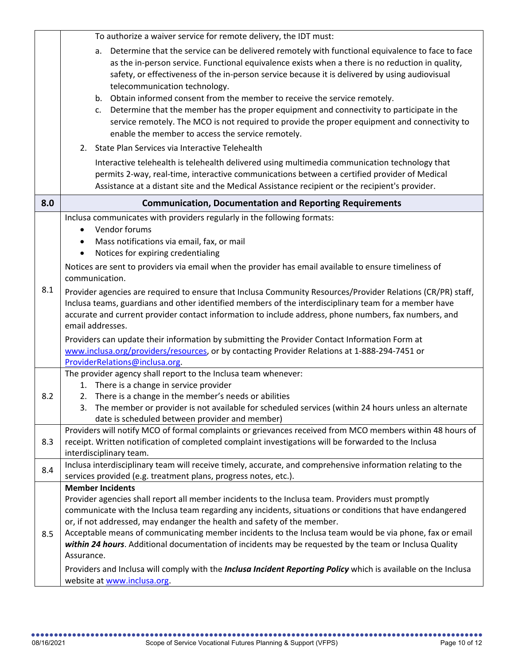|     | To authorize a waiver service for remote delivery, the IDT must:                                                                                                                                                                                                                                                                                                                                                                                                                                                                                                                                                                                                                                                                                                                                                                                                                                                                                                                                                                              |
|-----|-----------------------------------------------------------------------------------------------------------------------------------------------------------------------------------------------------------------------------------------------------------------------------------------------------------------------------------------------------------------------------------------------------------------------------------------------------------------------------------------------------------------------------------------------------------------------------------------------------------------------------------------------------------------------------------------------------------------------------------------------------------------------------------------------------------------------------------------------------------------------------------------------------------------------------------------------------------------------------------------------------------------------------------------------|
|     | Determine that the service can be delivered remotely with functional equivalence to face to face<br>a.<br>as the in-person service. Functional equivalence exists when a there is no reduction in quality,<br>safety, or effectiveness of the in-person service because it is delivered by using audiovisual<br>telecommunication technology.<br>Obtain informed consent from the member to receive the service remotely.<br>b.<br>Determine that the member has the proper equipment and connectivity to participate in the<br>c.<br>service remotely. The MCO is not required to provide the proper equipment and connectivity to<br>enable the member to access the service remotely.<br>2. State Plan Services via Interactive Telehealth                                                                                                                                                                                                                                                                                                 |
|     | Interactive telehealth is telehealth delivered using multimedia communication technology that                                                                                                                                                                                                                                                                                                                                                                                                                                                                                                                                                                                                                                                                                                                                                                                                                                                                                                                                                 |
|     | permits 2-way, real-time, interactive communications between a certified provider of Medical<br>Assistance at a distant site and the Medical Assistance recipient or the recipient's provider.                                                                                                                                                                                                                                                                                                                                                                                                                                                                                                                                                                                                                                                                                                                                                                                                                                                |
| 8.0 | <b>Communication, Documentation and Reporting Requirements</b>                                                                                                                                                                                                                                                                                                                                                                                                                                                                                                                                                                                                                                                                                                                                                                                                                                                                                                                                                                                |
| 8.1 | Inclusa communicates with providers regularly in the following formats:<br>Vendor forums<br>$\bullet$<br>Mass notifications via email, fax, or mail<br>٠<br>Notices for expiring credentialing<br>$\bullet$<br>Notices are sent to providers via email when the provider has email available to ensure timeliness of<br>communication.<br>Provider agencies are required to ensure that Inclusa Community Resources/Provider Relations (CR/PR) staff,<br>Inclusa teams, guardians and other identified members of the interdisciplinary team for a member have<br>accurate and current provider contact information to include address, phone numbers, fax numbers, and<br>email addresses.<br>Providers can update their information by submitting the Provider Contact Information Form at<br>www.inclusa.org/providers/resources, or by contacting Provider Relations at 1-888-294-7451 or<br>ProviderRelations@inclusa.org.<br>The provider agency shall report to the Inclusa team whenever:<br>1. There is a change in service provider |
| 8.2 | 2. There is a change in the member's needs or abilities                                                                                                                                                                                                                                                                                                                                                                                                                                                                                                                                                                                                                                                                                                                                                                                                                                                                                                                                                                                       |
|     | 3. The member or provider is not available for scheduled services (within 24 hours unless an alternate<br>date is scheduled between provider and member)                                                                                                                                                                                                                                                                                                                                                                                                                                                                                                                                                                                                                                                                                                                                                                                                                                                                                      |
| 8.3 | Providers will notify MCO of formal complaints or grievances received from MCO members within 48 hours of<br>receipt. Written notification of completed complaint investigations will be forwarded to the Inclusa<br>interdisciplinary team.                                                                                                                                                                                                                                                                                                                                                                                                                                                                                                                                                                                                                                                                                                                                                                                                  |
| 8.4 | Inclusa interdisciplinary team will receive timely, accurate, and comprehensive information relating to the<br>services provided (e.g. treatment plans, progress notes, etc.).                                                                                                                                                                                                                                                                                                                                                                                                                                                                                                                                                                                                                                                                                                                                                                                                                                                                |
|     | <b>Member Incidents</b>                                                                                                                                                                                                                                                                                                                                                                                                                                                                                                                                                                                                                                                                                                                                                                                                                                                                                                                                                                                                                       |
| 8.5 | Provider agencies shall report all member incidents to the Inclusa team. Providers must promptly<br>communicate with the Inclusa team regarding any incidents, situations or conditions that have endangered<br>or, if not addressed, may endanger the health and safety of the member.<br>Acceptable means of communicating member incidents to the Inclusa team would be via phone, fax or email<br>within 24 hours. Additional documentation of incidents may be requested by the team or Inclusa Quality<br>Assurance.<br>Providers and Inclusa will comply with the <i>Inclusa Incident Reporting Policy</i> which is available on the Inclusa                                                                                                                                                                                                                                                                                                                                                                                           |
|     | website at www.inclusa.org.                                                                                                                                                                                                                                                                                                                                                                                                                                                                                                                                                                                                                                                                                                                                                                                                                                                                                                                                                                                                                   |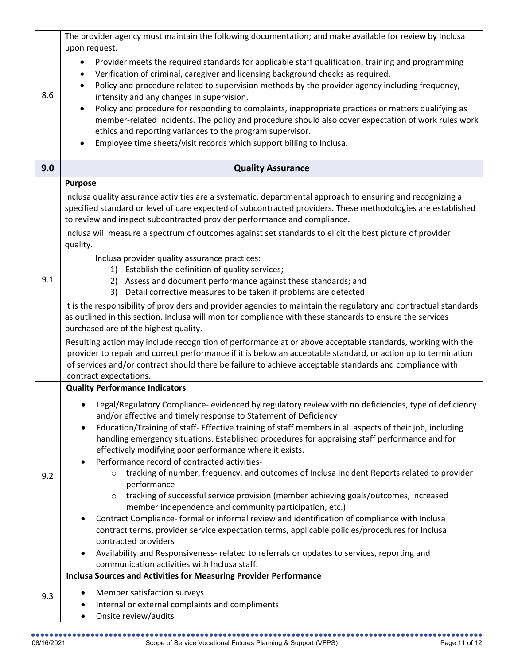|     | The provider agency must maintain the following documentation; and make available for review by Inclusa                                                                                                                                                                                                                                |
|-----|----------------------------------------------------------------------------------------------------------------------------------------------------------------------------------------------------------------------------------------------------------------------------------------------------------------------------------------|
|     | upon request.<br>Provider meets the required standards for applicable staff qualification, training and programming                                                                                                                                                                                                                    |
|     | Verification of criminal, caregiver and licensing background checks as required.<br>$\bullet$                                                                                                                                                                                                                                          |
|     | Policy and procedure related to supervision methods by the provider agency including frequency,<br>$\bullet$                                                                                                                                                                                                                           |
| 8.6 | intensity and any changes in supervision.                                                                                                                                                                                                                                                                                              |
|     | Policy and procedure for responding to complaints, inappropriate practices or matters qualifying as<br>$\bullet$                                                                                                                                                                                                                       |
|     | member-related incidents. The policy and procedure should also cover expectation of work rules work                                                                                                                                                                                                                                    |
|     | ethics and reporting variances to the program supervisor.<br>Employee time sheets/visit records which support billing to Inclusa.                                                                                                                                                                                                      |
|     |                                                                                                                                                                                                                                                                                                                                        |
| 9.0 | <b>Quality Assurance</b>                                                                                                                                                                                                                                                                                                               |
|     | <b>Purpose</b>                                                                                                                                                                                                                                                                                                                         |
|     | Inclusa quality assurance activities are a systematic, departmental approach to ensuring and recognizing a<br>specified standard or level of care expected of subcontracted providers. These methodologies are established<br>to review and inspect subcontracted provider performance and compliance.                                 |
|     | Inclusa will measure a spectrum of outcomes against set standards to elicit the best picture of provider                                                                                                                                                                                                                               |
|     | quality.                                                                                                                                                                                                                                                                                                                               |
|     | Inclusa provider quality assurance practices:                                                                                                                                                                                                                                                                                          |
|     | 1) Establish the definition of quality services;                                                                                                                                                                                                                                                                                       |
| 9.1 | 2) Assess and document performance against these standards; and<br>3) Detail corrective measures to be taken if problems are detected.                                                                                                                                                                                                 |
|     | It is the responsibility of providers and provider agencies to maintain the regulatory and contractual standards                                                                                                                                                                                                                       |
|     | as outlined in this section. Inclusa will monitor compliance with these standards to ensure the services<br>purchased are of the highest quality.                                                                                                                                                                                      |
|     | Resulting action may include recognition of performance at or above acceptable standards, working with the<br>provider to repair and correct performance if it is below an acceptable standard, or action up to termination<br>of services and/or contract should there be failure to achieve acceptable standards and compliance with |
|     | contract expectations.                                                                                                                                                                                                                                                                                                                 |
|     | <b>Quality Performance Indicators</b>                                                                                                                                                                                                                                                                                                  |
|     | Legal/Regulatory Compliance- evidenced by regulatory review with no deficiencies, type of deficiency<br>and/or effective and timely response to Statement of Deficiency                                                                                                                                                                |
|     | Education/Training of staff- Effective training of staff members in all aspects of their job, including<br>$\bullet$<br>handling emergency situations. Established procedures for appraising staff performance and for                                                                                                                 |
|     | effectively modifying poor performance where it exists.                                                                                                                                                                                                                                                                                |
|     | Performance record of contracted activities-<br>$\bullet$<br>tracking of number, frequency, and outcomes of Inclusa Incident Reports related to provider<br>$\circ$                                                                                                                                                                    |
| 9.2 | performance                                                                                                                                                                                                                                                                                                                            |
|     | tracking of successful service provision (member achieving goals/outcomes, increased<br>$\circ$                                                                                                                                                                                                                                        |
|     | member independence and community participation, etc.)                                                                                                                                                                                                                                                                                 |
|     | Contract Compliance- formal or informal review and identification of compliance with Inclusa                                                                                                                                                                                                                                           |
|     | contract terms, provider service expectation terms, applicable policies/procedures for Inclusa<br>contracted providers                                                                                                                                                                                                                 |
|     | Availability and Responsiveness- related to referrals or updates to services, reporting and                                                                                                                                                                                                                                            |
|     | communication activities with Inclusa staff.                                                                                                                                                                                                                                                                                           |
|     | <b>Inclusa Sources and Activities for Measuring Provider Performance</b>                                                                                                                                                                                                                                                               |
| 9.3 | Member satisfaction surveys                                                                                                                                                                                                                                                                                                            |
|     | Internal or external complaints and compliments                                                                                                                                                                                                                                                                                        |
|     | Onsite review/audits<br>٠                                                                                                                                                                                                                                                                                                              |